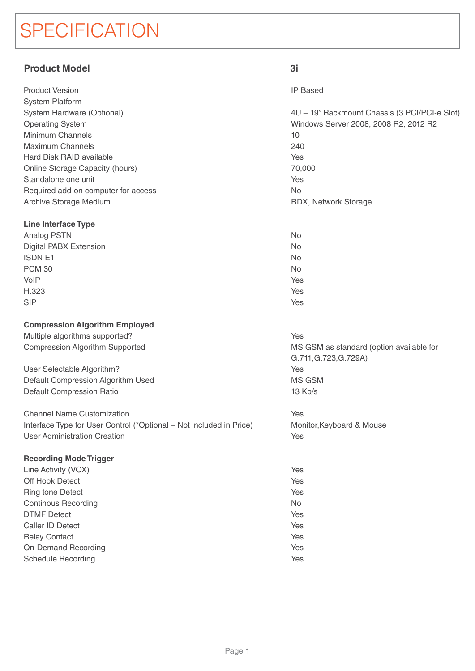# **SPECIFICATION**

# **Product Model 3i**

| <b>Product Version</b>              |
|-------------------------------------|
| System Platform                     |
| System Hardware (Optional)          |
| <b>Operating System</b>             |
| Minimum Channels                    |
| <b>Maximum Channels</b>             |
| Hard Disk RAID available            |
| Online Storage Capacity (hours)     |
| Standalone one unit                 |
| Required add-on computer for access |
| Archive Storage Medium              |

# **Line Interface Type**

| Analog PSTN                   | No  |
|-------------------------------|-----|
| <b>Digital PABX Extension</b> | No  |
| <b>ISDN E1</b>                | No  |
| <b>PCM 30</b>                 | No  |
| VoIP                          | Yes |
| H.323                         | Yes |
| <b>SIP</b>                    | Yes |

# **Compression Algorithm Employed**

Multiple algorithms supported? Compression Algorithm Supported

User Selectable Algorithm? Default Compression Algorithm Used Default Compression Ratio

Channel Name Customization Interface Type for User Control (\*Optional – Not included in Price) User Administration Creation

# **Recording Mode Trigger**

| Line Activity (VOX)        | Ye.       |
|----------------------------|-----------|
| Off Hook Detect            | Ye        |
| <b>Ring tone Detect</b>    | Ye.       |
| Continous Recording        | <b>No</b> |
| <b>DTMF Detect</b>         | Ye.       |
| Caller ID Detect           | Ye.       |
| <b>Relay Contact</b>       | Ye.       |
| <b>On-Demand Recording</b> | Ye.       |
| Schedule Recording         | Ye.       |
|                            |           |

IP Based

– 4U – 19" Rackmount Chassis (3 PCI/PCI-e Slot) Windows Server 2008, 2008 R2, 2012 R2 10 240 Yes 70,000 Yes No RDX, Network Storage

# Yes

MS GSM as standard (option available for G.711,G.723,G.729A) Yes MS GSM 13 Kb/s

Yes

Monitor,Keyboard & Mouse Yes

Yes Yes Yes No Yes Yes Yes Yes Yes